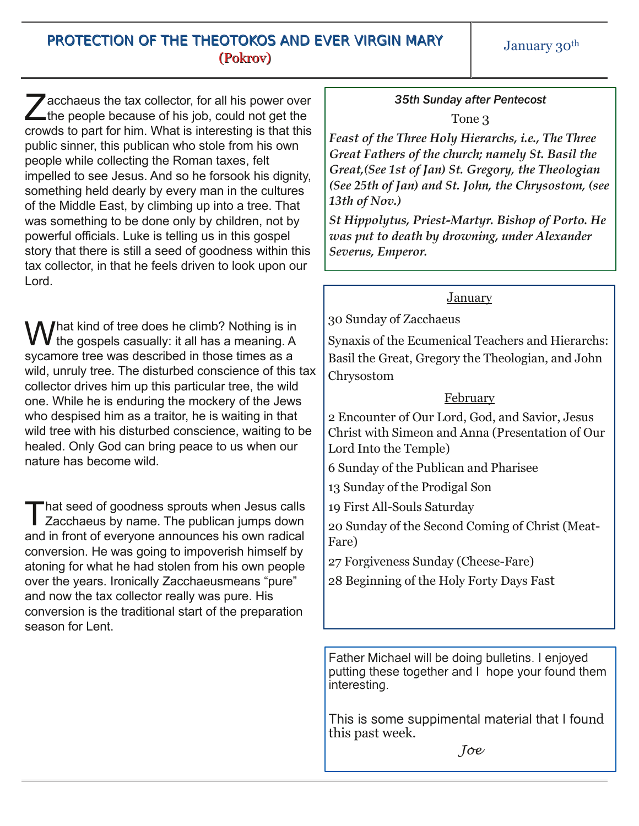### PROTECTION OF THE THEOTOKOS AND EVER VIRGIN MARY (Pokrov)

January 30<sup>th</sup>

Z acchaeus the tax collector, for all his power over the people because of his job, could not get the acchaeus the tax collector, for all his power over crowds to part for him. What is interesting is that this public sinner, this publican who stole from his own people while collecting the Roman taxes, felt impelled to see Jesus. And so he forsook his dignity, something held dearly by every man in the cultures of the Middle East, by climbing up into a tree. That was something to be done only by children, not by powerful officials. Luke is telling us in this gospel story that there is still a seed of goodness within this tax collector, in that he feels driven to look upon our Lord.

M I hat kind of tree does he climb? Nothing is in the gospels casually: it all has a meaning. A sycamore tree was described in those times as a wild, unruly tree. The disturbed conscience of this tax collector drives him up this particular tree, the wild one. While he is enduring the mockery of the Jews who despised him as a traitor, he is waiting in that wild tree with his disturbed conscience, waiting to be healed. Only God can bring peace to us when our nature has become wild.

That seed of goodness sprouts when Jesus calls<br>Zacchaeus by name. The publican jumps down hat seed of goodness sprouts when Jesus calls and in front of everyone announces his own radical conversion. He was going to impoverish himself by atoning for what he had stolen from his own people over the years. Ironically Zacchaeusmeans "pure" and now the tax collector really was pure. His conversion is the traditional start of the preparation season for Lent.

# *35th Sunday after Pentecost*

Tone 3

*Feast of the Three Holy Hierarchs, i.e., The Three Great Fathers of the church; namely St. Basil the Great,(See 1st of Jan) St. Gregory, the Theologian (See 25th of Jan) and St. John, the Chrysostom, (see 13th of Nov.)*

*St Hippolytus, Priest-Martyr. Bishop of Porto. He was put to death by drowning, under Alexander Severus, Emperor.*

### January

30 Sunday of Zacchaeus

Synaxis of the Ecumenical Teachers and Hierarchs: Basil the Great, Gregory the Theologian, and John Chrysostom

### February

2 Encounter of Our Lord, God, and Savior, Jesus Christ with Simeon and Anna (Presentation of Our Lord Into the Temple)

6 Sunday of the Publican and Pharisee

13 Sunday of the Prodigal Son

19 First All-Souls Saturday

20 Sunday of the Second Coming of Christ (Meat-Fare)

27 Forgiveness Sunday (Cheese-Fare)

28 Beginning of the Holy Forty Days Fast

Father Michael will be doing bulletins. I enjoyed putting these together and I hope your found them interesting.

This is some suppimental material that I found this past week.